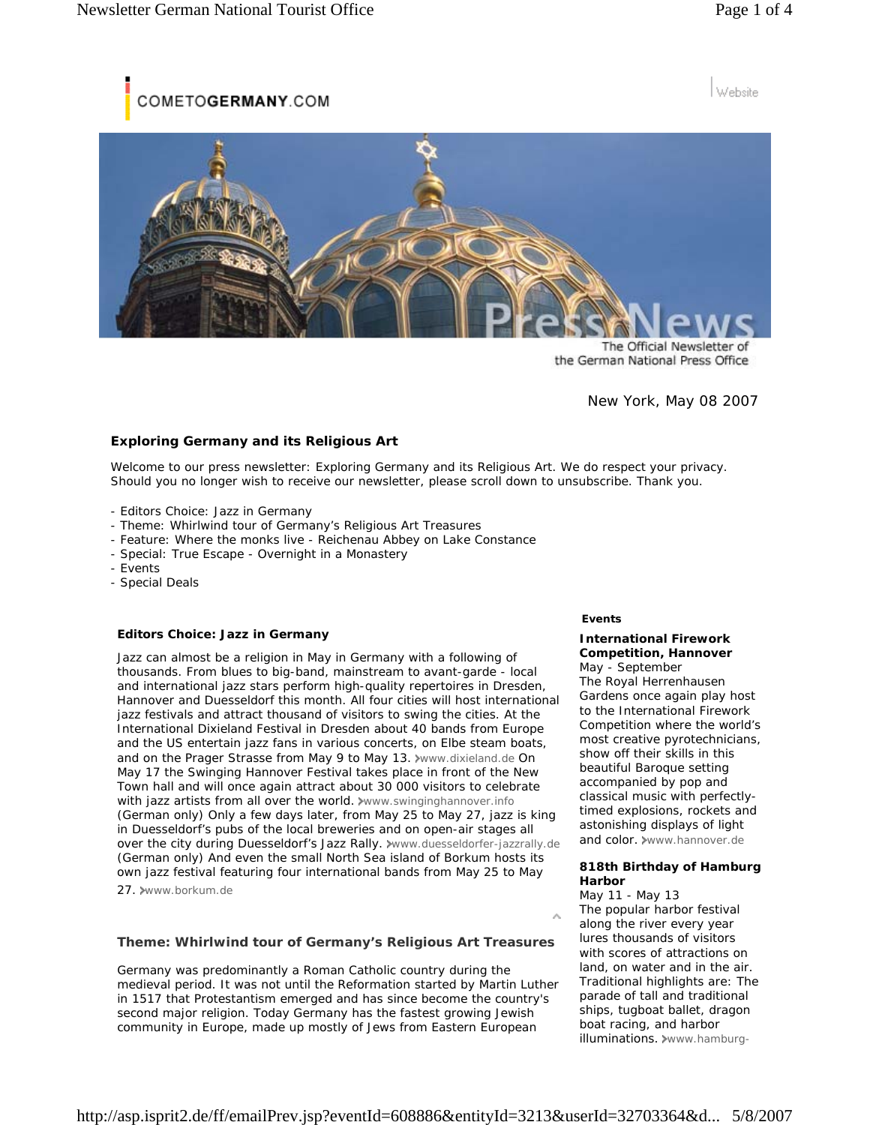COMETOGERMANY.COM

# Website



The Official Newsletter of the German National Press Office

New York, May 08 2007

## **Exploring Germany and its Religious Art**

Welcome to our press newsletter: Exploring Germany and its Religious Art. We do respect your privacy. Should you no longer wish to receive our newsletter, please scroll down to unsubscribe. Thank you.

- Editors Choice: Jazz in Germany
- Theme: Whirlwind tour of Germany's Religious Art Treasures
- Feature: Where the monks live Reichenau Abbey on Lake Constance
- Special: True Escape Overnight in a Monastery
- Events
- Special Deals

#### **Editors Choice: Jazz in Germany**

Jazz can almost be a religion in May in Germany with a following of thousands. From blues to big-band, mainstream to avant-garde - local and international jazz stars perform high-quality repertoires in Dresden, Hannover and Duesseldorf this month. All four cities will host international jazz festivals and attract thousand of visitors to swing the cities. At the International Dixieland Festival in Dresden about 40 bands from Europe and the US entertain jazz fans in various concerts, on Elbe steam boats, and on the Prager Strasse from May 9 to May 13. Www.dixieland.de On May 17 the Swinging Hannover Festival takes place in front of the New Town hall and will once again attract about 30 000 visitors to celebrate with jazz artists from all over the world. www.swinginghannover.info (German only) Only a few days later, from May 25 to May 27, jazz is king in Duesseldorf's pubs of the local breweries and on open-air stages all over the city during Duesseldorf's Jazz Rally. >www.duesseldorfer-jazzrally.de (German only) And even the small North Sea island of Borkum hosts its own jazz festival featuring four international bands from May 25 to May

27. www.borkum.de

**Theme: Whirlwind tour of Germany's Religious Art Treasures**

Germany was predominantly a Roman Catholic country during the medieval period. It was not until the Reformation started by Martin Luther in 1517 that Protestantism emerged and has since become the country's second major religion. Today Germany has the fastest growing Jewish community in Europe, made up mostly of Jews from Eastern European

### **Events**

# **International Firework Competition, Hannover**

May - September The Royal Herrenhausen Gardens once again play host to the International Firework Competition where the world's most creative pyrotechnicians, show off their skills in this beautiful Baroque setting accompanied by pop and classical music with perfectlytimed explosions, rockets and astonishing displays of light and color. >www.hannover.de

### **818th Birthday of Hamburg Harbor**

May 11 - May 13 The popular harbor festival along the river every year lures thousands of visitors with scores of attractions on land, on water and in the air. Traditional highlights are: The parade of tall and traditional ships, tugboat ballet, dragon boat racing, and harbor illuminations. >www.hamburg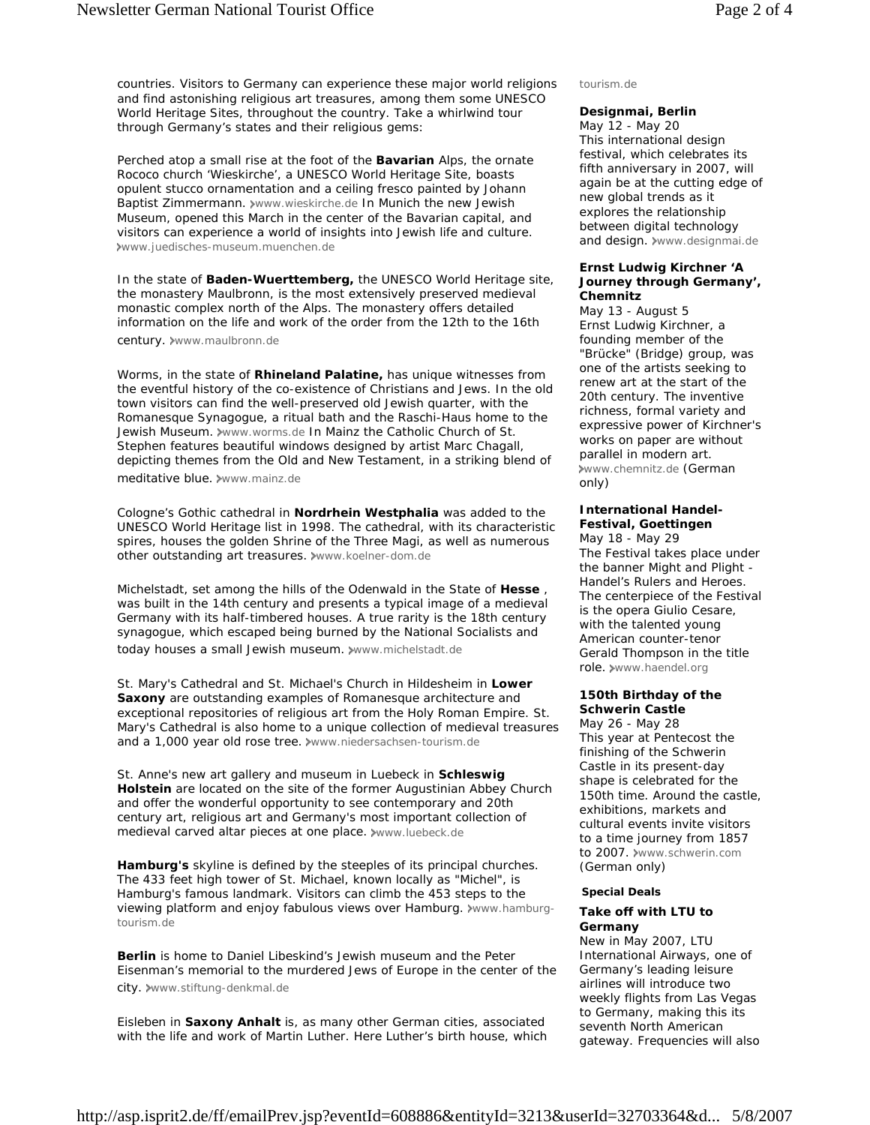countries. Visitors to Germany can experience these major world religions and find astonishing religious art treasures, among them some UNESCO

Perched atop a small rise at the foot of the **Bavarian** Alps, the ornate Rococo church 'Wieskirche', a UNESCO World Heritage Site, boasts opulent stucco ornamentation and a ceiling fresco painted by Johann Baptist Zimmermann. >www.wieskirche.de In Munich the new Jewish Museum, opened this March in the center of the Bavarian capital, and visitors can experience a world of insights into Jewish life and culture. www.juedisches-museum.muenchen.de

World Heritage Sites, throughout the country. Take a whirlwind tour

through Germany's states and their religious gems:

In the state of **Baden-Wuerttemberg,** the UNESCO World Heritage site, the monastery Maulbronn, is the most extensively preserved medieval monastic complex north of the Alps. The monastery offers detailed information on the life and work of the order from the 12th to the 16th century. >www.maulbronn.de

Worms, in the state of **Rhineland Palatine,** has unique witnesses from the eventful history of the co-existence of Christians and Jews. In the old town visitors can find the well-preserved old Jewish quarter, with the Romanesque Synagogue, a ritual bath and the Raschi-Haus home to the Jewish Museum. >www.worms.de In Mainz the Catholic Church of St. Stephen features beautiful windows designed by artist Marc Chagall, depicting themes from the Old and New Testament, in a striking blend of meditative blue. www.mainz.de

Cologne's Gothic cathedral in **Nordrhein Westphalia** was added to the UNESCO World Heritage list in 1998. The cathedral, with its characteristic spires, houses the golden Shrine of the Three Magi, as well as numerous other outstanding art treasures. >www.koelner-dom.de

Michelstadt, set among the hills of the Odenwald in the State of **Hesse** , was built in the 14th century and presents a typical image of a medieval Germany with its half-timbered houses. A true rarity is the 18th century synagogue, which escaped being burned by the National Socialists and today houses a small Jewish museum. www.michelstadt.de

St. Mary's Cathedral and St. Michael's Church in Hildesheim in **Lower Saxony** are outstanding examples of Romanesque architecture and exceptional repositories of religious art from the Holy Roman Empire. St. Mary's Cathedral is also home to a unique collection of medieval treasures and a 1,000 year old rose tree. >www.niedersachsen-tourism.de

St. Anne's new art gallery and museum in Luebeck in **Schleswig Holstein** are located on the site of the former Augustinian Abbey Church and offer the wonderful opportunity to see contemporary and 20th century art, religious art and Germany's most important collection of medieval carved altar pieces at one place. www.luebeck.de

**Hamburg's** skyline is defined by the steeples of its principal churches. The 433 feet high tower of St. Michael, known locally as "Michel", is Hamburg's famous landmark. Visitors can climb the 453 steps to the viewing platform and enjoy fabulous views over Hamburg. »www.hamburgtourism.de

**Berlin** is home to Daniel Libeskind's Jewish museum and the Peter Eisenman's memorial to the murdered Jews of Europe in the center of the city. www.stiftung-denkmal.de

Eisleben in **Saxony Anhalt** is, as many other German cities, associated with the life and work of Martin Luther. Here Luther's birth house, which tourism.de

## **Designmai, Berlin**

May 12 - May 20 This international design festival, which celebrates its fifth anniversary in 2007, will again be at the cutting edge of new global trends as it explores the relationship between digital technology and design. **\*www.designmai.de** 

### **Ernst Ludwig Kirchner 'A Journey through Germany', Chemnitz**

May 13 - August 5 Ernst Ludwig Kirchner, a founding member of the "Brücke" (Bridge) group, was one of the artists seeking to renew art at the start of the 20th century. The inventive richness, formal variety and expressive power of Kirchner's works on paper are without parallel in modern art. www.chemnitz.de (German only)

### **International Handel-Festival, Goettingen**

May 18 - May 29 The Festival takes place under the banner Might and Plight - Handel's Rulers and Heroes. The centerpiece of the Festival is the opera Giulio Cesare, with the talented young American counter-tenor Gerald Thompson in the title role. www.haendel.org

#### **150th Birthday of the Schwerin Castle**

May 26 - May 28 This year at Pentecost the finishing of the Schwerin Castle in its present-day shape is celebrated for the 150th time. Around the castle, exhibitions, markets and cultural events invite visitors to a time journey from 1857 to 2007. www.schwerin.com (German only)

#### **Special Deals**

# **Take off with LTU to Germany**

New in May 2007, LTU International Airways, one of Germany's leading leisure airlines will introduce two weekly flights from Las Vegas to Germany, making this its seventh North American gateway. Frequencies will also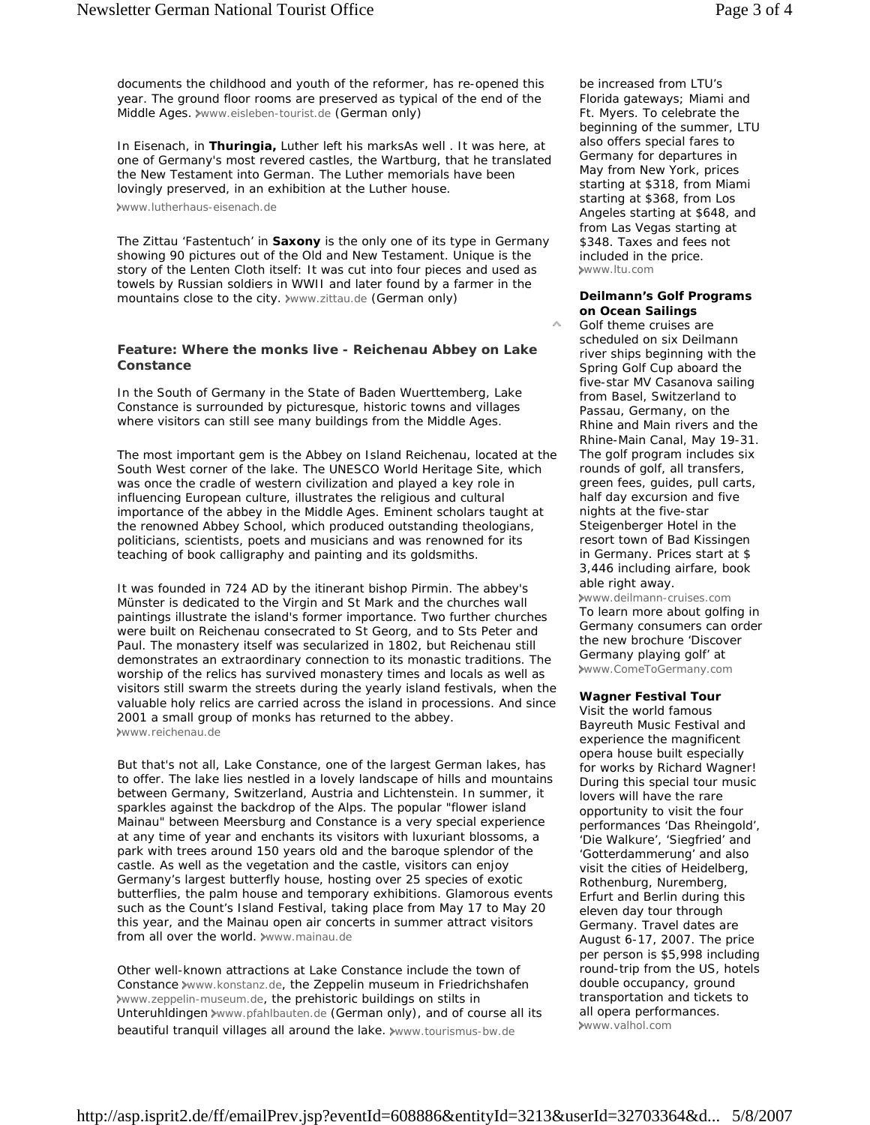documents the childhood and youth of the reformer, has re-opened this year. The ground floor rooms are preserved as typical of the end of the Middle Ages. www.eisleben-tourist.de (German only)

In Eisenach, in **Thuringia,** Luther left his marksAs well . It was here, at one of Germany's most revered castles, the Wartburg, that he translated the New Testament into German. The Luther memorials have been lovingly preserved, in an exhibition at the Luther house.

www.lutherhaus-eisenach.de

The Zittau 'Fastentuch' in **Saxony** is the only one of its type in Germany showing 90 pictures out of the Old and New Testament. Unique is the story of the Lenten Cloth itself: It was cut into four pieces and used as towels by Russian soldiers in WWII and later found by a farmer in the mountains close to the city. >www.zittau.de (German only)

# **Feature: Where the monks live - Reichenau Abbey on Lake Constance**

In the South of Germany in the State of Baden Wuerttemberg, Lake Constance is surrounded by picturesque, historic towns and villages where visitors can still see many buildings from the Middle Ages.

The most important gem is the Abbey on Island Reichenau, located at the South West corner of the lake. The UNESCO World Heritage Site, which was once the cradle of western civilization and played a key role in influencing European culture, illustrates the religious and cultural importance of the abbey in the Middle Ages. Eminent scholars taught at the renowned Abbey School, which produced outstanding theologians, politicians, scientists, poets and musicians and was renowned for its teaching of book calligraphy and painting and its goldsmiths.

It was founded in 724 AD by the itinerant bishop Pirmin. The abbey's Münster is dedicated to the Virgin and St Mark and the churches wall paintings illustrate the island's former importance. Two further churches were built on Reichenau consecrated to St Georg, and to Sts Peter and Paul. The monastery itself was secularized in 1802, but Reichenau still demonstrates an extraordinary connection to its monastic traditions. The worship of the relics has survived monastery times and locals as well as visitors still swarm the streets during the yearly island festivals, when the valuable holy relics are carried across the island in processions. And since 2001 a small group of monks has returned to the abbey. www.reichenau.de

But that's not all, Lake Constance, one of the largest German lakes, has to offer. The lake lies nestled in a lovely landscape of hills and mountains between Germany, Switzerland, Austria and Lichtenstein. In summer, it sparkles against the backdrop of the Alps. The popular "flower island Mainau" between Meersburg and Constance is a very special experience at any time of year and enchants its visitors with luxuriant blossoms, a park with trees around 150 years old and the baroque splendor of the castle. As well as the vegetation and the castle, visitors can enjoy Germany's largest butterfly house, hosting over 25 species of exotic butterflies, the palm house and temporary exhibitions. Glamorous events such as the Count's Island Festival, taking place from May 17 to May 20 this year, and the Mainau open air concerts in summer attract visitors from all over the world. >www.mainau.de

Other well-known attractions at Lake Constance include the town of Constance www.konstanz.de, the Zeppelin museum in Friedrichshafen www.zeppelin-museum.de, the prehistoric buildings on stilts in Unteruhldingen >www.pfahlbauten.de (German only), and of course all its beautiful tranquil villages all around the lake. >www.tourismus-bw.de

be increased from LTU's Florida gateways; Miami and Ft. Myers. To celebrate the beginning of the summer, LTU also offers special fares to Germany for departures in May from New York, prices starting at \$318, from Miami starting at \$368, from Los Angeles starting at \$648, and from Las Vegas starting at \$348. Taxes and fees not included in the price. www.ltu.com

# **Deilmann's Golf Programs on Ocean Sailings**

Golf theme cruises are scheduled on six Deilmann river ships beginning with the Spring Golf Cup aboard the five-star MV Casanova sailing from Basel, Switzerland to Passau, Germany, on the Rhine and Main rivers and the Rhine-Main Canal, May 19-31. The golf program includes six rounds of golf, all transfers, green fees, guides, pull carts, half day excursion and five nights at the five-star Steigenberger Hotel in the resort town of Bad Kissingen in Germany. Prices start at \$ 3,446 including airfare, book able right away.

www.deilmann-cruises.com To learn more about golfing in Germany consumers can order the new brochure 'Discover Germany playing golf' at www.ComeToGermany.com

# **Wagner Festival Tour**

Visit the world famous Bayreuth Music Festival and experience the magnificent opera house built especially for works by Richard Wagner! During this special tour music lovers will have the rare opportunity to visit the four performances 'Das Rheingold', 'Die Walkure', 'Siegfried' and 'Gotterdammerung' and also visit the cities of Heidelberg, Rothenburg, Nuremberg, Erfurt and Berlin during this eleven day tour through Germany. Travel dates are August 6-17, 2007. The price per person is \$5,998 including round-trip from the US, hotels double occupancy, ground transportation and tickets to all opera performances. www.valhol.com